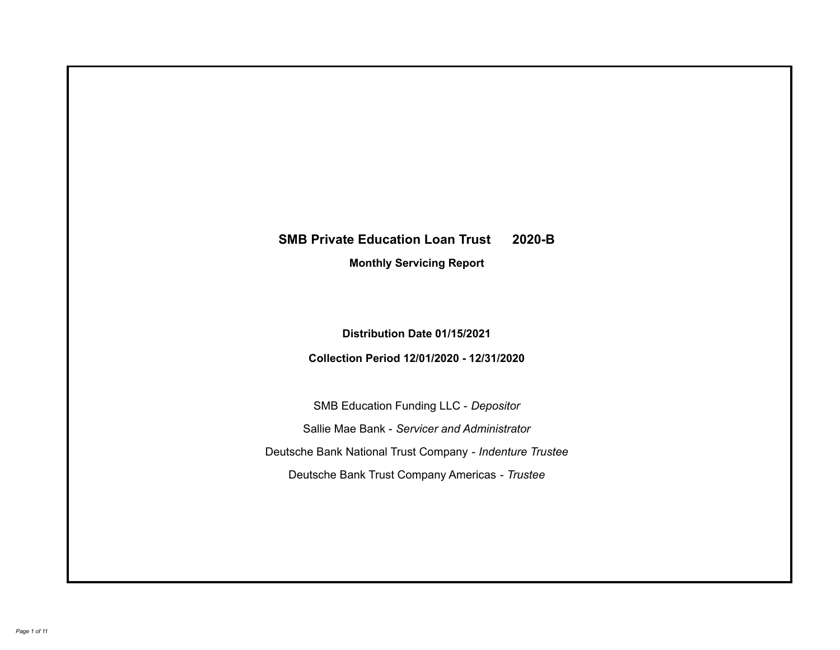# **SMB Private Education Loan Trust 2020-B Monthly Servicing Report**

**Distribution Date 01/15/2021**

**Collection Period 12/01/2020 - 12/31/2020**

SMB Education Funding LLC - *Depositor* Sallie Mae Bank - *Servicer and Administrator* Deutsche Bank National Trust Company - *Indenture Trustee* Deutsche Bank Trust Company Americas - *Trustee*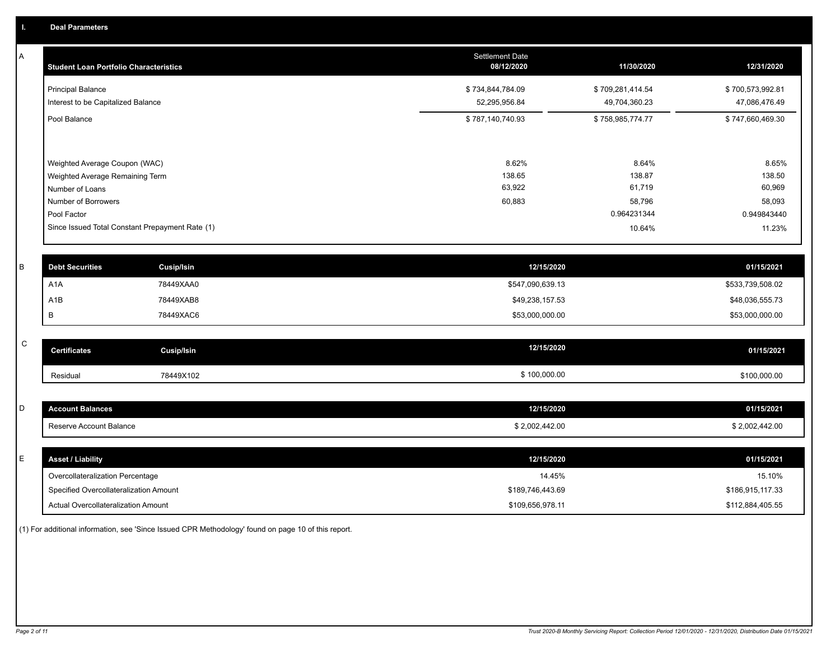A

| <b>Student Loan Portfolio Characteristics</b>   | Settlement Date<br>08/12/2020 | 11/30/2020       | 12/31/2020       |
|-------------------------------------------------|-------------------------------|------------------|------------------|
| <b>Principal Balance</b>                        | \$734,844,784.09              | \$709,281,414.54 | \$700,573,992.81 |
| Interest to be Capitalized Balance              | 52,295,956.84                 | 49,704,360.23    | 47,086,476.49    |
| Pool Balance                                    | \$787,140,740.93              | \$758,985,774.77 | \$747,660,469.30 |
|                                                 |                               |                  |                  |
| Weighted Average Coupon (WAC)                   | 8.62%                         | 8.64%            | 8.65%            |
| Weighted Average Remaining Term                 | 138.65                        | 138.87           | 138.50           |
| Number of Loans                                 | 63,922                        | 61,719           | 60,969           |
| Number of Borrowers                             | 60,883                        | 58,796           | 58,093           |
| Pool Factor                                     |                               | 0.964231344      | 0.949843440      |
| Since Issued Total Constant Prepayment Rate (1) |                               | 10.64%           | 11.23%           |

| <b>Debt Securities</b> | Cusip/Isin | 12/15/2020       | 01/15/2021       |
|------------------------|------------|------------------|------------------|
| A1A                    | 78449XAA0  | \$547,090,639.13 | \$533,739,508.02 |
| A1B                    | 78449XAB8  | \$49,238,157.53  | \$48,036,555.73  |
|                        | 78449XAC6  | \$53,000,000.00  | \$53,000,000.00  |

|                                       | 01/15/2021   |
|---------------------------------------|--------------|
| \$100,000.00<br>78449X102<br>Residual | \$100,000.00 |

| - | <b>Account Balances</b> | 12/15/2020     | 01/15/2021    |
|---|-------------------------|----------------|---------------|
|   | Reserve Account Balance | \$2,002,442.00 | 32,002,442.00 |

| <b>Asset / Liability</b>               | 12/15/2020       | 01/15/2021       |
|----------------------------------------|------------------|------------------|
| Overcollateralization Percentage       | 14.45%           | 15.10%           |
| Specified Overcollateralization Amount | \$189,746,443.69 | \$186,915,117.33 |
| Actual Overcollateralization Amount    | \$109,656,978.11 | \$112,884,405.55 |

(1) For additional information, see 'Since Issued CPR Methodology' found on page 10 of this report.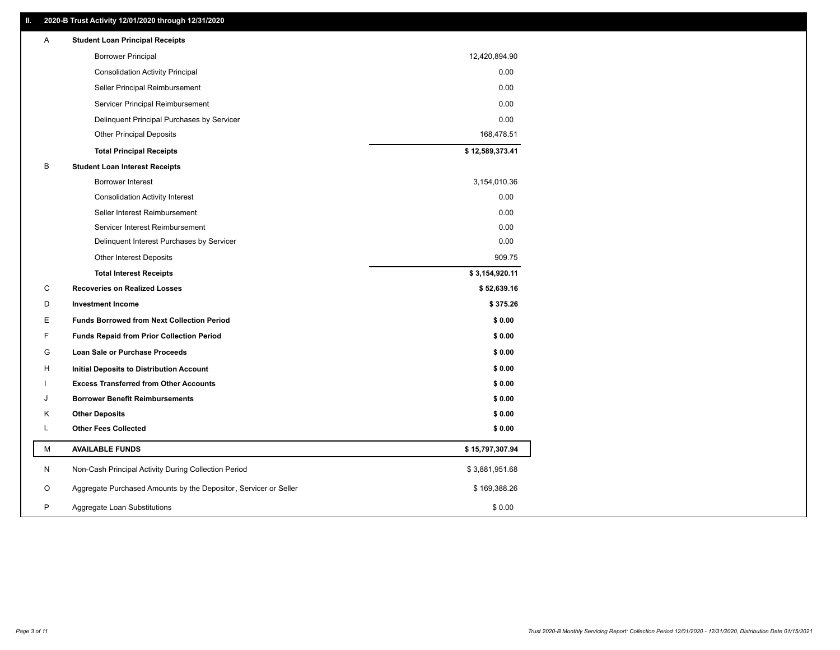# **II. 2020-B Trust Activity 12/01/2020 through 12/31/2020**

| <b>Borrower Principal</b><br>12,420,894.90<br>0.00<br><b>Consolidation Activity Principal</b><br>0.00<br>Seller Principal Reimbursement<br>0.00<br>Servicer Principal Reimbursement<br>0.00<br>Delinquent Principal Purchases by Servicer<br><b>Other Principal Deposits</b><br>168,478.51<br>\$12,589,373.41<br><b>Total Principal Receipts</b><br>B<br><b>Student Loan Interest Receipts</b><br>3,154,010.36<br><b>Borrower Interest</b><br>0.00<br><b>Consolidation Activity Interest</b><br>0.00<br>Seller Interest Reimbursement<br>0.00<br>Servicer Interest Reimbursement<br>0.00<br>Delinquent Interest Purchases by Servicer<br>909.75<br><b>Other Interest Deposits</b><br>\$3,154,920.11<br><b>Total Interest Receipts</b><br>C<br>\$52,639.16<br><b>Recoveries on Realized Losses</b><br>D<br><b>Investment Income</b><br>\$375.26<br>E<br><b>Funds Borrowed from Next Collection Period</b><br>\$0.00<br>F<br><b>Funds Repaid from Prior Collection Period</b><br>\$0.00<br>G<br>\$0.00<br>Loan Sale or Purchase Proceeds<br>\$0.00<br>н<br>Initial Deposits to Distribution Account<br><b>Excess Transferred from Other Accounts</b><br>\$0.00<br><b>Borrower Benefit Reimbursements</b><br>\$0.00<br>J<br><b>Other Deposits</b><br>\$0.00<br>Κ<br>L<br><b>Other Fees Collected</b><br>\$0.00<br>М<br><b>AVAILABLE FUNDS</b><br>\$15,797,307.94<br>N<br>Non-Cash Principal Activity During Collection Period<br>\$3,881,951.68 |   | <b>Student Loan Principal Receipts</b>                           |              |
|----------------------------------------------------------------------------------------------------------------------------------------------------------------------------------------------------------------------------------------------------------------------------------------------------------------------------------------------------------------------------------------------------------------------------------------------------------------------------------------------------------------------------------------------------------------------------------------------------------------------------------------------------------------------------------------------------------------------------------------------------------------------------------------------------------------------------------------------------------------------------------------------------------------------------------------------------------------------------------------------------------------------------------------------------------------------------------------------------------------------------------------------------------------------------------------------------------------------------------------------------------------------------------------------------------------------------------------------------------------------------------------------------------------------------------------------|---|------------------------------------------------------------------|--------------|
|                                                                                                                                                                                                                                                                                                                                                                                                                                                                                                                                                                                                                                                                                                                                                                                                                                                                                                                                                                                                                                                                                                                                                                                                                                                                                                                                                                                                                                              |   |                                                                  |              |
|                                                                                                                                                                                                                                                                                                                                                                                                                                                                                                                                                                                                                                                                                                                                                                                                                                                                                                                                                                                                                                                                                                                                                                                                                                                                                                                                                                                                                                              |   |                                                                  |              |
|                                                                                                                                                                                                                                                                                                                                                                                                                                                                                                                                                                                                                                                                                                                                                                                                                                                                                                                                                                                                                                                                                                                                                                                                                                                                                                                                                                                                                                              |   |                                                                  |              |
|                                                                                                                                                                                                                                                                                                                                                                                                                                                                                                                                                                                                                                                                                                                                                                                                                                                                                                                                                                                                                                                                                                                                                                                                                                                                                                                                                                                                                                              |   |                                                                  |              |
|                                                                                                                                                                                                                                                                                                                                                                                                                                                                                                                                                                                                                                                                                                                                                                                                                                                                                                                                                                                                                                                                                                                                                                                                                                                                                                                                                                                                                                              |   |                                                                  |              |
|                                                                                                                                                                                                                                                                                                                                                                                                                                                                                                                                                                                                                                                                                                                                                                                                                                                                                                                                                                                                                                                                                                                                                                                                                                                                                                                                                                                                                                              |   |                                                                  |              |
|                                                                                                                                                                                                                                                                                                                                                                                                                                                                                                                                                                                                                                                                                                                                                                                                                                                                                                                                                                                                                                                                                                                                                                                                                                                                                                                                                                                                                                              |   |                                                                  |              |
|                                                                                                                                                                                                                                                                                                                                                                                                                                                                                                                                                                                                                                                                                                                                                                                                                                                                                                                                                                                                                                                                                                                                                                                                                                                                                                                                                                                                                                              |   |                                                                  |              |
|                                                                                                                                                                                                                                                                                                                                                                                                                                                                                                                                                                                                                                                                                                                                                                                                                                                                                                                                                                                                                                                                                                                                                                                                                                                                                                                                                                                                                                              |   |                                                                  |              |
|                                                                                                                                                                                                                                                                                                                                                                                                                                                                                                                                                                                                                                                                                                                                                                                                                                                                                                                                                                                                                                                                                                                                                                                                                                                                                                                                                                                                                                              |   |                                                                  |              |
|                                                                                                                                                                                                                                                                                                                                                                                                                                                                                                                                                                                                                                                                                                                                                                                                                                                                                                                                                                                                                                                                                                                                                                                                                                                                                                                                                                                                                                              |   |                                                                  |              |
|                                                                                                                                                                                                                                                                                                                                                                                                                                                                                                                                                                                                                                                                                                                                                                                                                                                                                                                                                                                                                                                                                                                                                                                                                                                                                                                                                                                                                                              |   |                                                                  |              |
|                                                                                                                                                                                                                                                                                                                                                                                                                                                                                                                                                                                                                                                                                                                                                                                                                                                                                                                                                                                                                                                                                                                                                                                                                                                                                                                                                                                                                                              |   |                                                                  |              |
|                                                                                                                                                                                                                                                                                                                                                                                                                                                                                                                                                                                                                                                                                                                                                                                                                                                                                                                                                                                                                                                                                                                                                                                                                                                                                                                                                                                                                                              |   |                                                                  |              |
|                                                                                                                                                                                                                                                                                                                                                                                                                                                                                                                                                                                                                                                                                                                                                                                                                                                                                                                                                                                                                                                                                                                                                                                                                                                                                                                                                                                                                                              |   |                                                                  |              |
|                                                                                                                                                                                                                                                                                                                                                                                                                                                                                                                                                                                                                                                                                                                                                                                                                                                                                                                                                                                                                                                                                                                                                                                                                                                                                                                                                                                                                                              |   |                                                                  |              |
|                                                                                                                                                                                                                                                                                                                                                                                                                                                                                                                                                                                                                                                                                                                                                                                                                                                                                                                                                                                                                                                                                                                                                                                                                                                                                                                                                                                                                                              |   |                                                                  |              |
|                                                                                                                                                                                                                                                                                                                                                                                                                                                                                                                                                                                                                                                                                                                                                                                                                                                                                                                                                                                                                                                                                                                                                                                                                                                                                                                                                                                                                                              |   |                                                                  |              |
|                                                                                                                                                                                                                                                                                                                                                                                                                                                                                                                                                                                                                                                                                                                                                                                                                                                                                                                                                                                                                                                                                                                                                                                                                                                                                                                                                                                                                                              |   |                                                                  |              |
|                                                                                                                                                                                                                                                                                                                                                                                                                                                                                                                                                                                                                                                                                                                                                                                                                                                                                                                                                                                                                                                                                                                                                                                                                                                                                                                                                                                                                                              |   |                                                                  |              |
|                                                                                                                                                                                                                                                                                                                                                                                                                                                                                                                                                                                                                                                                                                                                                                                                                                                                                                                                                                                                                                                                                                                                                                                                                                                                                                                                                                                                                                              |   |                                                                  |              |
|                                                                                                                                                                                                                                                                                                                                                                                                                                                                                                                                                                                                                                                                                                                                                                                                                                                                                                                                                                                                                                                                                                                                                                                                                                                                                                                                                                                                                                              |   |                                                                  |              |
|                                                                                                                                                                                                                                                                                                                                                                                                                                                                                                                                                                                                                                                                                                                                                                                                                                                                                                                                                                                                                                                                                                                                                                                                                                                                                                                                                                                                                                              |   |                                                                  |              |
|                                                                                                                                                                                                                                                                                                                                                                                                                                                                                                                                                                                                                                                                                                                                                                                                                                                                                                                                                                                                                                                                                                                                                                                                                                                                                                                                                                                                                                              |   |                                                                  |              |
|                                                                                                                                                                                                                                                                                                                                                                                                                                                                                                                                                                                                                                                                                                                                                                                                                                                                                                                                                                                                                                                                                                                                                                                                                                                                                                                                                                                                                                              |   |                                                                  |              |
|                                                                                                                                                                                                                                                                                                                                                                                                                                                                                                                                                                                                                                                                                                                                                                                                                                                                                                                                                                                                                                                                                                                                                                                                                                                                                                                                                                                                                                              |   |                                                                  |              |
|                                                                                                                                                                                                                                                                                                                                                                                                                                                                                                                                                                                                                                                                                                                                                                                                                                                                                                                                                                                                                                                                                                                                                                                                                                                                                                                                                                                                                                              |   |                                                                  |              |
|                                                                                                                                                                                                                                                                                                                                                                                                                                                                                                                                                                                                                                                                                                                                                                                                                                                                                                                                                                                                                                                                                                                                                                                                                                                                                                                                                                                                                                              |   |                                                                  |              |
| P<br>\$0.00<br>Aggregate Loan Substitutions                                                                                                                                                                                                                                                                                                                                                                                                                                                                                                                                                                                                                                                                                                                                                                                                                                                                                                                                                                                                                                                                                                                                                                                                                                                                                                                                                                                                  | O | Aggregate Purchased Amounts by the Depositor, Servicer or Seller | \$169,388.26 |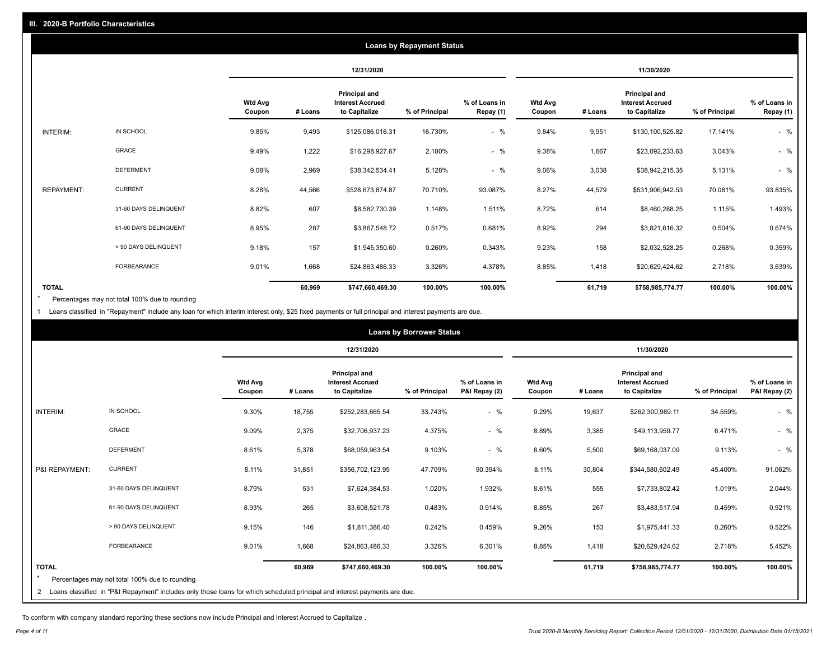|                   |                       |                          |            |                                                                  | <b>Loans by Repayment Status</b> |                            |                          |         |                                                                  |                |                            |
|-------------------|-----------------------|--------------------------|------------|------------------------------------------------------------------|----------------------------------|----------------------------|--------------------------|---------|------------------------------------------------------------------|----------------|----------------------------|
|                   |                       |                          | 12/31/2020 |                                                                  |                                  |                            |                          |         | 11/30/2020                                                       |                |                            |
|                   |                       | <b>Wtd Avg</b><br>Coupon | # Loans    | <b>Principal and</b><br><b>Interest Accrued</b><br>to Capitalize | % of Principal                   | % of Loans in<br>Repay (1) | <b>Wtd Avg</b><br>Coupon | # Loans | <b>Principal and</b><br><b>Interest Accrued</b><br>to Capitalize | % of Principal | % of Loans in<br>Repay (1) |
| INTERIM:          | IN SCHOOL             | 9.85%                    | 9,493      | \$125,086,016.31                                                 | 16.730%                          | $-$ %                      | 9.84%                    | 9,951   | \$130,100,525.82                                                 | 17.141%        | $-$ %                      |
|                   | GRACE                 | 9.49%                    | 1,222      | \$16,298,927.67                                                  | 2.180%                           | $-$ %                      | 9.38%                    | 1,667   | \$23,092,233.63                                                  | 3.043%         | $-$ %                      |
|                   | <b>DEFERMENT</b>      | 9.08%                    | 2,969      | \$38,342,534.41                                                  | 5.128%                           | $-$ %                      | 9.06%                    | 3,038   | \$38,942,215.35                                                  | 5.131%         | $-$ %                      |
| <b>REPAYMENT:</b> | <b>CURRENT</b>        | 8.28%                    | 44,566     | \$528,673,874.87                                                 | 70.710%                          | 93.087%                    | 8.27%                    | 44,579  | \$531,906,942.53                                                 | 70.081%        | 93.835%                    |
|                   | 31-60 DAYS DELINQUENT | 8.82%                    | 607        | \$8,582,730.39                                                   | 1.148%                           | 1.511%                     | 8.72%                    | 614     | \$8,460,288.25                                                   | 1.115%         | 1.493%                     |
|                   | 61-90 DAYS DELINQUENT | 8.95%                    | 287        | \$3,867,548.72                                                   | 0.517%                           | 0.681%                     | 8.92%                    | 294     | \$3,821,616.32                                                   | 0.504%         | 0.674%                     |
|                   | > 90 DAYS DELINQUENT  | 9.18%                    | 157        | \$1,945,350.60                                                   | 0.260%                           | 0.343%                     | 9.23%                    | 158     | \$2,032,528.25                                                   | 0.268%         | 0.359%                     |
|                   | FORBEARANCE           | 9.01%                    | 1,668      | \$24,863,486.33                                                  | 3.326%                           | 4.378%                     | 8.85%                    | 1,418   | \$20,629,424.62                                                  | 2.718%         | 3.639%                     |
| <b>TOTAL</b>      |                       |                          | 60,969     | \$747,660,469.30                                                 | 100.00%                          | 100.00%                    |                          | 61,719  | \$758,985,774.77                                                 | 100.00%        | 100.00%                    |

Percentages may not total 100% due to rounding \*

1 Loans classified in "Repayment" include any loan for which interim interest only, \$25 fixed payments or full principal and interest payments are due.

| 12/31/2020<br>11/30/2020<br><b>Principal and</b><br>Principal and<br><b>Wtd Avg</b><br>% of Loans in<br><b>Wtd Avg</b><br><b>Interest Accrued</b><br><b>Interest Accrued</b><br># Loans<br>to Capitalize<br>% of Principal<br>P&I Repay (2)<br>to Capitalize<br>% of Principal<br>Coupon<br>Coupon<br># Loans<br>IN SCHOOL<br>$-$ %<br><b>INTERIM:</b><br>9.30%<br>18,755<br>33.743%<br>9.29%<br>19,637<br>\$262,300,989.11<br>34.559%<br>\$252,283,665.54<br><b>GRACE</b><br>9.09%<br>$-$ %<br>8.89%<br>2,375<br>4.375%<br>3,385<br>6.471%<br>\$32,706,937.23<br>\$49,113,959.77<br><b>DEFERMENT</b><br>8.61%<br>5,378<br>9.103%<br>$-$ %<br>8.60%<br>5,500<br>9.113%<br>\$68,059,963.54<br>\$69,168,037.09<br><b>CURRENT</b><br>8.11%<br>8.11%<br>31,851<br>47.709%<br>90.394%<br>30,804<br>\$344,580,602.49<br>45.400%<br>\$356,702,123.95<br>31-60 DAYS DELINQUENT<br>8.79%<br>531<br>1.020%<br>8.61%<br>555<br>1.019%<br>\$7,624,384.53<br>1.932%<br>\$7,733,802.42<br>8.93%<br>265<br>267<br>61-90 DAYS DELINQUENT<br>0.483%<br>0.914%<br>8.85%<br>0.459%<br>\$3,608,521.78<br>\$3,483,517.94<br>> 90 DAYS DELINQUENT<br>9.15%<br>0.242%<br>9.26%<br>146<br>\$1,811,386.40<br>0.459%<br>153<br>\$1,975,441.33<br>0.260%<br>FORBEARANCE<br>9.01%<br>1,668<br>3.326%<br>6.301%<br>8.85%<br>1,418<br>2.718%<br>\$20,629,424.62<br>\$24,863,486.33 |                |  |        |                  | <b>Loans by Borrower Status</b> |         |        |                  |         |                                |
|------------------------------------------------------------------------------------------------------------------------------------------------------------------------------------------------------------------------------------------------------------------------------------------------------------------------------------------------------------------------------------------------------------------------------------------------------------------------------------------------------------------------------------------------------------------------------------------------------------------------------------------------------------------------------------------------------------------------------------------------------------------------------------------------------------------------------------------------------------------------------------------------------------------------------------------------------------------------------------------------------------------------------------------------------------------------------------------------------------------------------------------------------------------------------------------------------------------------------------------------------------------------------------------------------------------------------------------------------|----------------|--|--------|------------------|---------------------------------|---------|--------|------------------|---------|--------------------------------|
|                                                                                                                                                                                                                                                                                                                                                                                                                                                                                                                                                                                                                                                                                                                                                                                                                                                                                                                                                                                                                                                                                                                                                                                                                                                                                                                                                      |                |  |        |                  |                                 |         |        |                  |         |                                |
|                                                                                                                                                                                                                                                                                                                                                                                                                                                                                                                                                                                                                                                                                                                                                                                                                                                                                                                                                                                                                                                                                                                                                                                                                                                                                                                                                      |                |  |        |                  |                                 |         |        |                  |         | % of Loans in<br>P&I Repay (2) |
|                                                                                                                                                                                                                                                                                                                                                                                                                                                                                                                                                                                                                                                                                                                                                                                                                                                                                                                                                                                                                                                                                                                                                                                                                                                                                                                                                      |                |  |        |                  |                                 |         |        |                  |         | $-$ %                          |
|                                                                                                                                                                                                                                                                                                                                                                                                                                                                                                                                                                                                                                                                                                                                                                                                                                                                                                                                                                                                                                                                                                                                                                                                                                                                                                                                                      |                |  |        |                  |                                 |         |        |                  |         | $-$ %                          |
|                                                                                                                                                                                                                                                                                                                                                                                                                                                                                                                                                                                                                                                                                                                                                                                                                                                                                                                                                                                                                                                                                                                                                                                                                                                                                                                                                      |                |  |        |                  |                                 |         |        |                  |         | $-$ %                          |
|                                                                                                                                                                                                                                                                                                                                                                                                                                                                                                                                                                                                                                                                                                                                                                                                                                                                                                                                                                                                                                                                                                                                                                                                                                                                                                                                                      | P&I REPAYMENT: |  |        |                  |                                 |         |        |                  |         | 91.062%                        |
|                                                                                                                                                                                                                                                                                                                                                                                                                                                                                                                                                                                                                                                                                                                                                                                                                                                                                                                                                                                                                                                                                                                                                                                                                                                                                                                                                      |                |  |        |                  |                                 |         |        |                  |         | 2.044%                         |
|                                                                                                                                                                                                                                                                                                                                                                                                                                                                                                                                                                                                                                                                                                                                                                                                                                                                                                                                                                                                                                                                                                                                                                                                                                                                                                                                                      |                |  |        |                  |                                 |         |        |                  |         | 0.921%                         |
|                                                                                                                                                                                                                                                                                                                                                                                                                                                                                                                                                                                                                                                                                                                                                                                                                                                                                                                                                                                                                                                                                                                                                                                                                                                                                                                                                      |                |  |        |                  |                                 |         |        |                  |         | 0.522%                         |
|                                                                                                                                                                                                                                                                                                                                                                                                                                                                                                                                                                                                                                                                                                                                                                                                                                                                                                                                                                                                                                                                                                                                                                                                                                                                                                                                                      |                |  |        |                  |                                 |         |        |                  |         | 5.452%                         |
| Percentages may not total 100% due to rounding<br>2 Loans classified in "P&I Repayment" includes only those loans for which scheduled principal and interest payments are due.                                                                                                                                                                                                                                                                                                                                                                                                                                                                                                                                                                                                                                                                                                                                                                                                                                                                                                                                                                                                                                                                                                                                                                       | <b>TOTAL</b>   |  | 60,969 | \$747,660,469.30 | 100.00%                         | 100.00% | 61,719 | \$758,985,774.77 | 100.00% | 100.00%                        |

To conform with company standard reporting these sections now include Principal and Interest Accrued to Capitalize .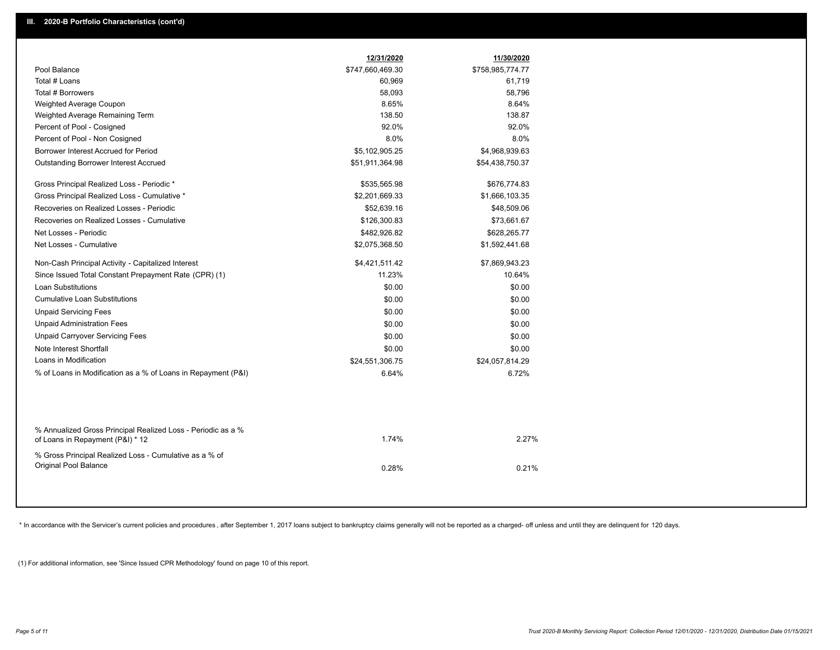|                                                                                                  | 12/31/2020       | 11/30/2020       |  |
|--------------------------------------------------------------------------------------------------|------------------|------------------|--|
| Pool Balance                                                                                     | \$747,660,469.30 | \$758,985,774.77 |  |
| Total # Loans                                                                                    | 60,969           | 61,719           |  |
| Total # Borrowers                                                                                | 58,093           | 58,796           |  |
| Weighted Average Coupon                                                                          | 8.65%            | 8.64%            |  |
| Weighted Average Remaining Term                                                                  | 138.50           | 138.87           |  |
| Percent of Pool - Cosigned                                                                       | 92.0%            | 92.0%            |  |
| Percent of Pool - Non Cosigned                                                                   | 8.0%             | 8.0%             |  |
| Borrower Interest Accrued for Period                                                             | \$5,102,905.25   | \$4,968,939.63   |  |
| Outstanding Borrower Interest Accrued                                                            | \$51,911,364.98  | \$54,438,750.37  |  |
| Gross Principal Realized Loss - Periodic *                                                       | \$535,565.98     | \$676,774.83     |  |
| Gross Principal Realized Loss - Cumulative *                                                     | \$2,201,669.33   | \$1,666,103.35   |  |
| Recoveries on Realized Losses - Periodic                                                         | \$52,639.16      | \$48,509.06      |  |
| Recoveries on Realized Losses - Cumulative                                                       | \$126,300.83     | \$73,661.67      |  |
| Net Losses - Periodic                                                                            | \$482,926.82     | \$628,265.77     |  |
| Net Losses - Cumulative                                                                          | \$2,075,368.50   | \$1,592,441.68   |  |
| Non-Cash Principal Activity - Capitalized Interest                                               | \$4,421,511.42   | \$7,869,943.23   |  |
| Since Issued Total Constant Prepayment Rate (CPR) (1)                                            | 11.23%           | 10.64%           |  |
| <b>Loan Substitutions</b>                                                                        | \$0.00           | \$0.00           |  |
| <b>Cumulative Loan Substitutions</b>                                                             | \$0.00           | \$0.00           |  |
| <b>Unpaid Servicing Fees</b>                                                                     | \$0.00           | \$0.00           |  |
| <b>Unpaid Administration Fees</b>                                                                | \$0.00           | \$0.00           |  |
| <b>Unpaid Carryover Servicing Fees</b>                                                           | \$0.00           | \$0.00           |  |
| Note Interest Shortfall                                                                          | \$0.00           | \$0.00           |  |
| Loans in Modification                                                                            | \$24,551,306.75  | \$24,057,814.29  |  |
| % of Loans in Modification as a % of Loans in Repayment (P&I)                                    | 6.64%            | 6.72%            |  |
|                                                                                                  |                  |                  |  |
| % Annualized Gross Principal Realized Loss - Periodic as a %<br>of Loans in Repayment (P&I) * 12 | 1.74%            | 2.27%            |  |
| % Gross Principal Realized Loss - Cumulative as a % of                                           |                  |                  |  |
| Original Pool Balance                                                                            | 0.28%            | 0.21%            |  |
|                                                                                                  |                  |                  |  |

\* In accordance with the Servicer's current policies and procedures, after September 1, 2017 loans subject to bankruptcy claims generally will not be reported as a charged- off unless and until they are delinquent for 120

(1) For additional information, see 'Since Issued CPR Methodology' found on page 10 of this report.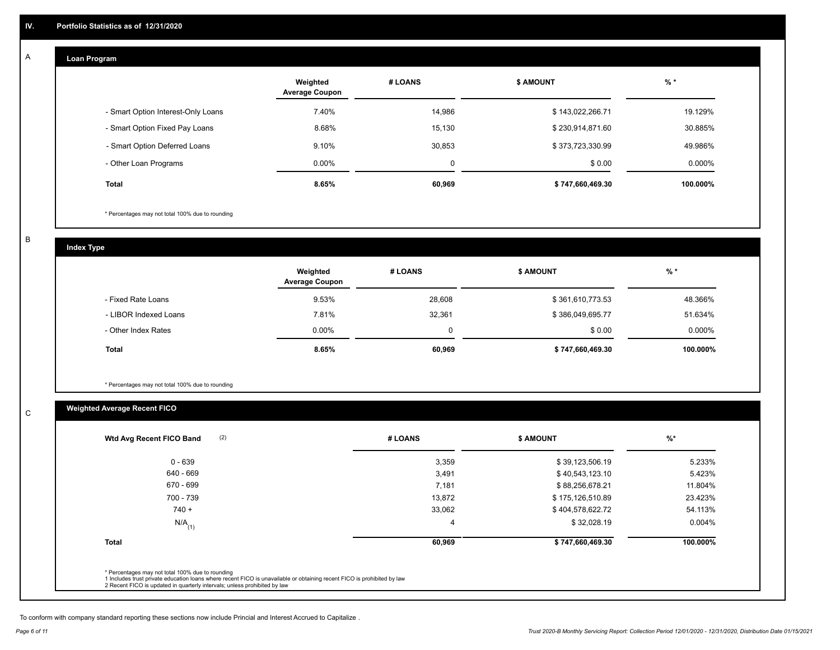#### **Loan Program**  A

|                                    | Weighted<br><b>Average Coupon</b> | # LOANS | <b>\$ AMOUNT</b> | $%$ *    |
|------------------------------------|-----------------------------------|---------|------------------|----------|
| - Smart Option Interest-Only Loans | 7.40%                             | 14,986  | \$143,022,266.71 | 19.129%  |
| - Smart Option Fixed Pay Loans     | 8.68%                             | 15,130  | \$230,914,871.60 | 30.885%  |
| - Smart Option Deferred Loans      | 9.10%                             | 30.853  | \$373,723,330.99 | 49.986%  |
| - Other Loan Programs              | $0.00\%$                          | 0       | \$0.00           | 0.000%   |
| <b>Total</b>                       | 8.65%                             | 60,969  | \$747,660,469.30 | 100.000% |

\* Percentages may not total 100% due to rounding

B

C

**Index Type**

|                       | Weighted<br><b>Average Coupon</b> | # LOANS | <b>\$ AMOUNT</b> | $%$ *    |
|-----------------------|-----------------------------------|---------|------------------|----------|
| - Fixed Rate Loans    | 9.53%                             | 28,608  | \$361,610,773.53 | 48.366%  |
| - LIBOR Indexed Loans | 7.81%                             | 32,361  | \$386,049,695.77 | 51.634%  |
| - Other Index Rates   | $0.00\%$                          |         | \$0.00           | 0.000%   |
| Total                 | 8.65%                             | 60,969  | \$747,660,469.30 | 100.000% |

\* Percentages may not total 100% due to rounding

# **Weighted Average Recent FICO**

| \$39,123,506.19  |          |
|------------------|----------|
|                  | 5.233%   |
| \$40,543,123.10  | 5.423%   |
| \$88,256,678.21  | 11.804%  |
| \$175,126,510.89 | 23.423%  |
| \$404,578,622.72 | 54.113%  |
| \$32,028.19      | 0.004%   |
| \$747,660,469.30 | 100.000% |
|                  |          |

To conform with company standard reporting these sections now include Princial and Interest Accrued to Capitalize .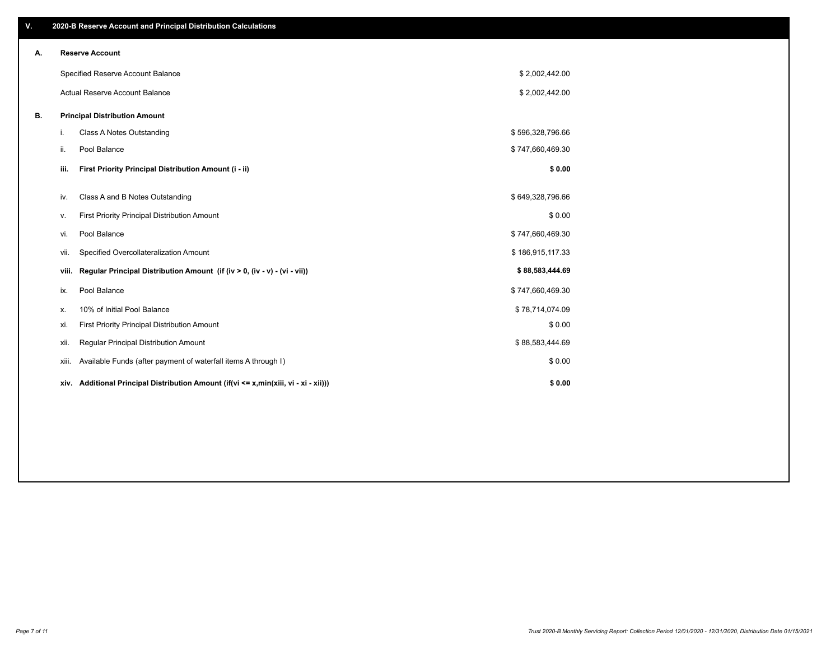| V. |       | 2020-B Reserve Account and Principal Distribution Calculations                  |                  |  |
|----|-------|---------------------------------------------------------------------------------|------------------|--|
| А. |       | <b>Reserve Account</b>                                                          |                  |  |
|    |       | Specified Reserve Account Balance                                               | \$2,002,442.00   |  |
|    |       | Actual Reserve Account Balance                                                  | \$2,002,442.00   |  |
| В. |       | <b>Principal Distribution Amount</b>                                            |                  |  |
|    | i.    | Class A Notes Outstanding                                                       | \$596,328,796.66 |  |
|    | ii.   | Pool Balance                                                                    | \$747,660,469.30 |  |
|    | iii.  | First Priority Principal Distribution Amount (i - ii)                           | \$0.00           |  |
|    | iv.   | Class A and B Notes Outstanding                                                 | \$649,328,796.66 |  |
|    |       | First Priority Principal Distribution Amount                                    | \$0.00           |  |
|    | v.    | Pool Balance                                                                    |                  |  |
|    | vi.   |                                                                                 | \$747,660,469.30 |  |
|    | vii.  | Specified Overcollateralization Amount                                          | \$186,915,117.33 |  |
|    | viii. | Regular Principal Distribution Amount (if (iv > 0, (iv - v) - (vi - vii))       | \$88,583,444.69  |  |
|    | ix.   | Pool Balance                                                                    | \$747,660,469.30 |  |
|    | х.    | 10% of Initial Pool Balance                                                     | \$78,714,074.09  |  |
|    | xi.   | First Priority Principal Distribution Amount                                    | \$0.00           |  |
|    | XII.  | Regular Principal Distribution Amount                                           | \$88,583,444.69  |  |
|    | xiii. | Available Funds (after payment of waterfall items A through I)                  | \$0.00           |  |
|    | xiv.  | Additional Principal Distribution Amount (if(vi <= x,min(xiii, vi - xi - xii))) | \$0.00           |  |
|    |       |                                                                                 |                  |  |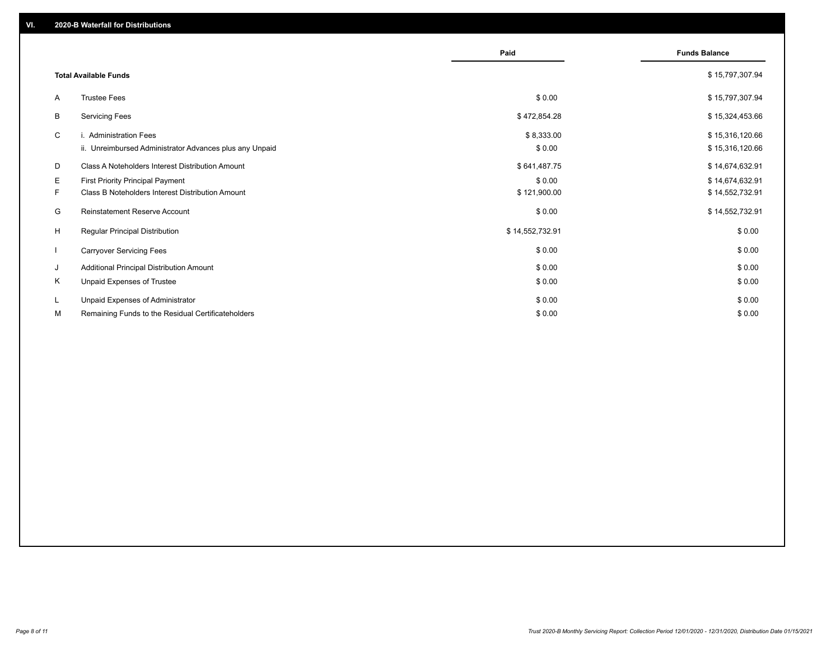|    |                                                                                   | Paid                 | <b>Funds Balance</b>               |
|----|-----------------------------------------------------------------------------------|----------------------|------------------------------------|
|    | <b>Total Available Funds</b>                                                      |                      | \$15,797,307.94                    |
| A  | <b>Trustee Fees</b>                                                               | \$0.00               | \$15,797,307.94                    |
| В  | <b>Servicing Fees</b>                                                             | \$472,854.28         | \$15,324,453.66                    |
| C  | i. Administration Fees<br>ii. Unreimbursed Administrator Advances plus any Unpaid | \$8,333.00<br>\$0.00 | \$15,316,120.66<br>\$15,316,120.66 |
| D  | Class A Noteholders Interest Distribution Amount                                  | \$641,487.75         | \$14,674,632.91                    |
| Е  | <b>First Priority Principal Payment</b>                                           | \$0.00               | \$14,674,632.91                    |
| F. | Class B Noteholders Interest Distribution Amount                                  | \$121,900.00         | \$14,552,732.91                    |
| G  | <b>Reinstatement Reserve Account</b>                                              | \$0.00               | \$14,552,732.91                    |
| H  | <b>Regular Principal Distribution</b>                                             | \$14,552,732.91      | \$0.00                             |
|    | <b>Carryover Servicing Fees</b>                                                   | \$0.00               | \$0.00                             |
| J  | Additional Principal Distribution Amount                                          | \$0.00               | \$0.00                             |
| Κ  | Unpaid Expenses of Trustee                                                        | \$0.00               | \$0.00                             |
| L  | Unpaid Expenses of Administrator                                                  | \$0.00               | \$0.00                             |
| М  | Remaining Funds to the Residual Certificateholders                                | \$0.00               | \$0.00                             |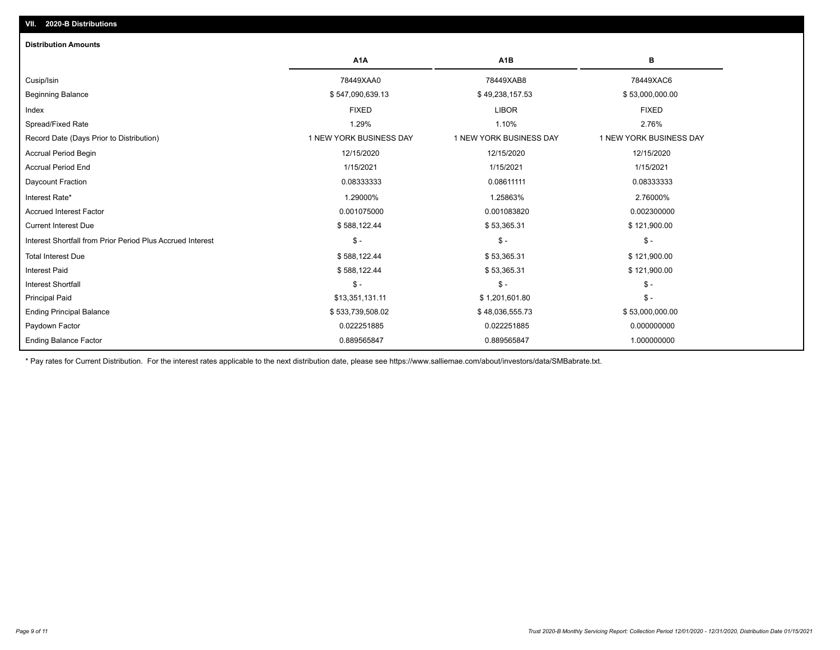| <b>Distribution Amounts</b>                                |                         |                         |                         |
|------------------------------------------------------------|-------------------------|-------------------------|-------------------------|
|                                                            | A <sub>1</sub> A        | A <sub>1</sub> B        | в                       |
| Cusip/Isin                                                 | 78449XAA0               | 78449XAB8               | 78449XAC6               |
| <b>Beginning Balance</b>                                   | \$547,090,639.13        | \$49,238,157.53         | \$53,000,000.00         |
| Index                                                      | <b>FIXED</b>            | <b>LIBOR</b>            | <b>FIXED</b>            |
| Spread/Fixed Rate                                          | 1.29%                   | 1.10%                   | 2.76%                   |
| Record Date (Days Prior to Distribution)                   | 1 NEW YORK BUSINESS DAY | 1 NEW YORK BUSINESS DAY | 1 NEW YORK BUSINESS DAY |
| <b>Accrual Period Begin</b>                                | 12/15/2020              | 12/15/2020              | 12/15/2020              |
| <b>Accrual Period End</b>                                  | 1/15/2021               | 1/15/2021               | 1/15/2021               |
| Daycount Fraction                                          | 0.08333333              | 0.08611111              | 0.08333333              |
| Interest Rate*                                             | 1.29000%                | 1.25863%                | 2.76000%                |
| <b>Accrued Interest Factor</b>                             | 0.001075000             | 0.001083820             | 0.002300000             |
| <b>Current Interest Due</b>                                | \$588,122.44            | \$53,365.31             | \$121,900.00            |
| Interest Shortfall from Prior Period Plus Accrued Interest | $\mathsf{\$}$ -         | $\mathsf{\$}$ -         | $\mathsf{\$}$ -         |
| <b>Total Interest Due</b>                                  | \$588,122.44            | \$53,365.31             | \$121,900.00            |
| <b>Interest Paid</b>                                       | \$588,122.44            | \$53,365.31             | \$121,900.00            |
| <b>Interest Shortfall</b>                                  | $\mathsf{\$}$ -         | $$ -$                   | $\mathsf{\$}$ -         |
| <b>Principal Paid</b>                                      | \$13,351,131.11         | \$1,201,601.80          | $\mathsf{\$}$ -         |
| <b>Ending Principal Balance</b>                            | \$533,739,508.02        | \$48,036,555.73         | \$53,000,000.00         |
| Paydown Factor                                             | 0.022251885             | 0.022251885             | 0.000000000             |
| <b>Ending Balance Factor</b>                               | 0.889565847             | 0.889565847             | 1.000000000             |

\* Pay rates for Current Distribution. For the interest rates applicable to the next distribution date, please see https://www.salliemae.com/about/investors/data/SMBabrate.txt.

**VII. 2020-B Distributions**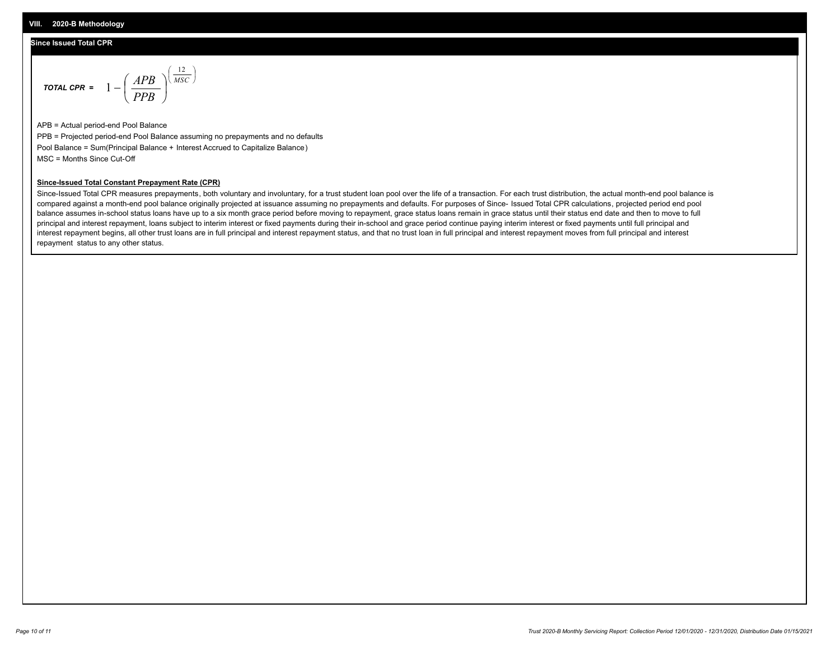## **Since Issued Total CPR**

$$
\text{Total CPR} = 1 - \left(\frac{APB}{PPB}\right)^{\left(\frac{12}{MSC}\right)}
$$

APB = Actual period-end Pool Balance PPB = Projected period-end Pool Balance assuming no prepayments and no defaults Pool Balance = Sum(Principal Balance + Interest Accrued to Capitalize Balance) MSC = Months Since Cut-Off

### **Since-Issued Total Constant Prepayment Rate (CPR)**

Since-Issued Total CPR measures prepayments, both voluntary and involuntary, for a trust student loan pool over the life of a transaction. For each trust distribution, the actual month-end pool balance is compared against a month-end pool balance originally projected at issuance assuming no prepayments and defaults. For purposes of Since- Issued Total CPR calculations, projected period end pool balance assumes in-school status loans have up to a six month grace period before moving to repayment, grace status loans remain in grace status until their status end date and then to move to full principal and interest repayment, loans subject to interim interest or fixed payments during their in-school and grace period continue paying interim interest or fixed payments until full principal and interest repayment begins, all other trust loans are in full principal and interest repayment status, and that no trust loan in full principal and interest repayment moves from full principal and interest repayment status to any other status.